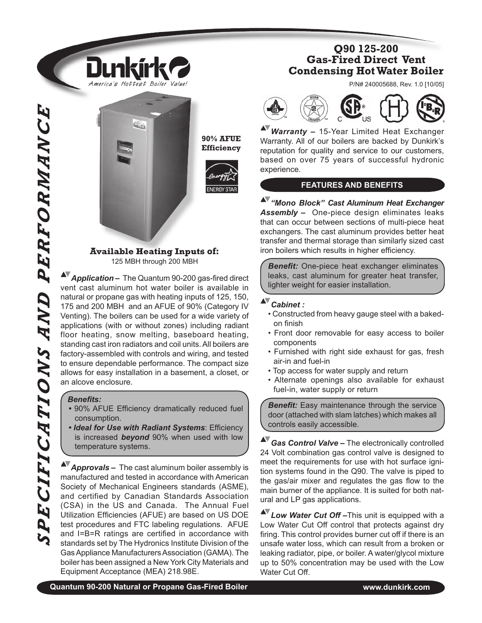

Dunkírl

America's Hottest Boiler Value!

**90% AFUE Efficiency**



#### **Available Heating Inputs of:** 125 MBH through 200 MBH

**Application –** The Quantum 90-200 gas-fired direct vent cast aluminum hot water boiler is available in natural or propane gas with heating inputs of 125, 150, 175 and 200 MBH and an AFUE of 90% (Category IV Venting). The boilers can be used for a wide variety of applications (with or without zones) including radiant floor heating, snow melting, baseboard heating, standing cast iron radiators and coil units. All boilers are factory-assembled with controls and wiring, and tested to ensure dependable performance. The compact size allows for easy installation in a basement, a closet, or an alcove enclosure.

#### **Benefits:**

- 90% AFUE Efficiency dramatically reduced fuel consumption.
- Ideal for Use with Radiant Systems: Efficiency is increased *beyond* 90% when used with low temperature systems.

*Approvals –* The cast aluminum boiler assembly is manufactured and tested in accordance with American Society of Mechanical Engineers standards (ASME), and certified by Canadian Standards Association (CSA) in the US and Canada. The Annual Fuel Utilization Efficiencies (AFUE) are based on US DOE test procedures and FTC labeling regulations. AFUE and  $I = B = R$  ratings are certified in accordance with standards set by The Hydronics Institute Division of the Gas Appliance Manufacturers Association (GAMA). The boiler has been assigned a New York City Materials and Equipment Acceptance (MEA) 218.98E.

## **Q90 125-200 Gas-Fired Direct Vent Condensing Hot Water Boiler**

P/N# 240005688, Rev. 1.0 [10/05]



*Warranty –* 15-Year Limited Heat Exchanger Warranty. All of our boilers are backed by Dunkirk's reputation for quality and service to our customers, based on over 75 years of successful hydronic experience.

#### **FEATURES AND BENEFITS**

*"Mono Block" Cast Aluminum Heat Exchanger Assembly –*One-piece design eliminates leaks that can occur between sections of multi-piece heat exchangers. The cast aluminum provides better heat transfer and thermal storage than similarly sized cast iron boilers which results in higher efficiency.

**Benefit:** One-piece heat exchanger eliminates leaks, cast aluminum for greater heat transfer, lighter weight for easier installation.

# *Cabinet :*

- Constructed from heavy gauge steel with a bakedon finish
- Front door removable for easy access to boiler components
- Furnished with right side exhaust for gas, fresh air-in and fuel-in
- Top access for water supply and return
- Alternate openings also available for exhaust fuel-in, water supply or return

**Benefit:** Easy maintenance through the service door (attached with slam latches) which makes all controls easily accessible.

 $\blacktriangle$ *Gas Control Valve –* The electronically controlled 24 Volt combination gas control valve is designed to meet the requirements for use with hot surface ignition systems found in the Q90. The valve is piped to the gas/air mixer and regulates the gas flow to the main burner of the appliance. It is suited for both natural and LP gas applications.

**AV** Low Water Cut Off-This unit is equipped with a Low Water Cut Off control that protects against dry firing. This control provides burner cut off if there is an unsafe water loss, which can result from a broken or leaking radiator, pipe, or boiler. A water/glycol mixture up to 50% concentration may be used with the Low Water Cut Off.

**Quantum 90-200 Natural or Propane Gas-Fired Boiler www.dunkirk.com**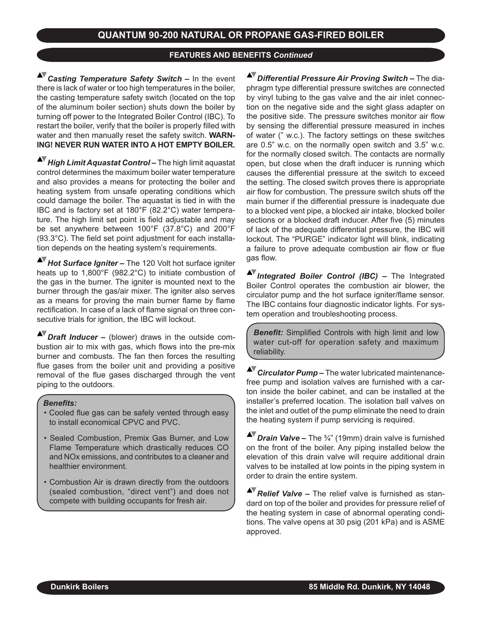#### **FEATURES AND BENEFITS** *Continued*

*Casting Temperature Safety Switch –* In the event there is lack of water or too high temperatures in the boiler, the casting temperature safety switch (located on the top of the aluminum boiler section) shuts down the boiler by turning off power to the Integrated Boiler Control (IBC). To restart the boiler, verify that the boiler is properly filled with water and then manually reset the safety switch. **WARN-ING! NEVER RUN WATER INTO A HOT EMPTY BOILER.**

*High Limit Aquastat Control –* The high limit aquastat control determines the maximum boiler water temperature and also provides a means for protecting the boiler and heating system from unsafe operating conditions which could damage the boiler. The aquastat is tied in with the IBC and is factory set at 180°F (82.2°C) water temperature. The high limit set point is field adjustable and may be set anywhere between 100°F (37.8°C) and 200°F (93.3°C). The field set point adjustment for each installation depends on the heating system's requirements.

*Hot Surface Igniter –* The 120 Volt hot surface igniter heats up to 1,800°F (982.2°C) to initiate combustion of the gas in the burner. The igniter is mounted next to the burner through the gas/air mixer. The igniter also serves as a means for proving the main burner flame by flame rectification. In case of a lack of flame signal on three consecutive trials for ignition, the IBC will lockout.

*Draft Inducer –* (blower) draws in the outside combustion air to mix with gas, which flows into the pre-mix burner and combusts. The fan then forces the resulting flue gases from the boiler unit and providing a positive removal of the flue gases discharged through the vent piping to the outdoors.

#### *Benefits:*

- Cooled flue gas can be safely vented through easy to install economical CPVC and PVC.
- Sealed Combustion, Premix Gas Burner, and Low Flame Temperature which drastically reduces CO and NOx emissions, and contributes to a cleaner and healthier environment.
- Combustion Air is drawn directly from the outdoors (sealed combustion, "direct vent") and does not compete with building occupants for fresh air.

*Differential Pressure Air Proving Switch –* The diaphragm type differential pressure switches are connected by vinyl tubing to the gas valve and the air inlet connection on the negative side and the sight glass adapter on the positive side. The pressure switches monitor air flow by sensing the differential pressure measured in inches of water (" w.c.). The factory settings on these switches are 0.5" w.c. on the normally open switch and 3.5" w.c. for the normally closed switch. The contacts are normally open, but close when the draft inducer is running which causes the differential pressure at the switch to exceed the setting. The closed switch proves there is appropriate air flow for combustion. The pressure switch shuts off the main burner if the differential pressure is inadequate due to a blocked vent pipe, a blocked air intake, blocked boiler sections or a blocked draft inducer. After five (5) minutes of lack of the adequate differential pressure, the IBC will lockout. The "PURGE" indicator light will blink, indicating a failure to prove adequate combustion air flow or flue gas flow.

*Integrated Boiler Control (IBC) –* The Integrated Boiler Control operates the combustion air blower, the circulator pump and the hot surface igniter/flame sensor. The IBC contains four diagnostic indicator lights. For system operation and troubleshooting process.

*Benefit:* Simplified Controls with high limit and low water cut-off for operation safety and maximum reliability.

*Circulator Pump* – The water lubricated maintenancefree pump and isolation valves are furnished with a carton inside the boiler cabinet, and can be installed at the installer's preferred location. The isolation ball valves on the inlet and outlet of the pump eliminate the need to drain the heating system if pump servicing is required.

*Drain Valve –* The ¾" (19mm) drain valve is furnished on the front of the boiler. Any piping installed below the elevation of this drain valve will require additional drain valves to be installed at low points in the piping system in order to drain the entire system.

**AV** Relief Valve – The relief valve is furnished as standard on top of the boiler and provides for pressure relief of the heating system in case of abnormal operating conditions. The valve opens at 30 psig (201 kPa) and is ASME approved.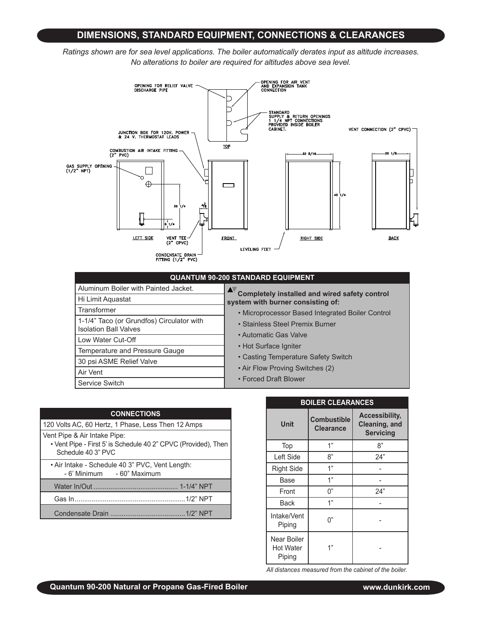### **DIMENSIONS, STANDARD EQUIPMENT, CONNECTIONS & CLEARANCES**

*Ratings shown are for sea level applications. The boiler automatically derates input as altitude increases. No alterations to boiler are required for altitudes above sea level.*



#### **QUANTUM 90-200 STANDARD EQUIPMENT**

| Aluminum Boiler with Painted Jacket.                                      | Completely installed and wired safety control<br>system with burner consisting of: |  |  |  |  |
|---------------------------------------------------------------------------|------------------------------------------------------------------------------------|--|--|--|--|
| Hi Limit Aquastat                                                         |                                                                                    |  |  |  |  |
| Transformer                                                               | • Microprocessor Based Integrated Boiler Control                                   |  |  |  |  |
| 1-1/4" Taco (or Grundfos) Circulator with<br><b>Isolation Ball Valves</b> | • Stainless Steel Premix Burner                                                    |  |  |  |  |
| Low Water Cut-Off                                                         | • Automatic Gas Valve                                                              |  |  |  |  |
| Temperature and Pressure Gauge                                            | • Hot Surface Igniter                                                              |  |  |  |  |
| 30 psi ASME Relief Valve                                                  | • Casting Temperature Safety Switch                                                |  |  |  |  |
| Air Vent                                                                  | • Air Flow Proving Switches (2)                                                    |  |  |  |  |
| Service Switch                                                            | • Forced Draft Blower                                                              |  |  |  |  |

| <b>CONNECTIONS</b>                                                                                                   |
|----------------------------------------------------------------------------------------------------------------------|
| 120 Volts AC, 60 Hertz, 1 Phase, Less Then 12 Amps                                                                   |
| Vent Pipe & Air Intake Pipe:<br>• Vent Pipe - First 5' is Schedule 40 2" CPVC (Provided), Then<br>Schedule 40 3" PVC |
| • Air Intake - Schedule 40 3" PVC, Vent Length:<br>- 6' Minimum - 60" Maximum                                        |
|                                                                                                                      |
|                                                                                                                      |
|                                                                                                                      |

| <b>BOILER CLEARANCES</b>                  |                                        |                                                            |  |  |  |
|-------------------------------------------|----------------------------------------|------------------------------------------------------------|--|--|--|
| Unit                                      | <b>Combustible</b><br><b>Clearance</b> | <b>Accessibility,</b><br>Cleaning, and<br><b>Servicing</b> |  |  |  |
| Top                                       | 1"                                     | 8"                                                         |  |  |  |
| Left Side                                 | 8"                                     | 24"                                                        |  |  |  |
| <b>Right Side</b>                         | 1"                                     |                                                            |  |  |  |
| Base                                      | 1"                                     |                                                            |  |  |  |
| Front                                     | 0"                                     | 24"                                                        |  |  |  |
| <b>Back</b>                               | 1"                                     |                                                            |  |  |  |
| Intake/Vent<br>Piping                     | በ"                                     |                                                            |  |  |  |
| Near Boiler<br><b>Hot Water</b><br>Piping | 1"                                     |                                                            |  |  |  |

*All distances measured from the cabinet of the boiler.*